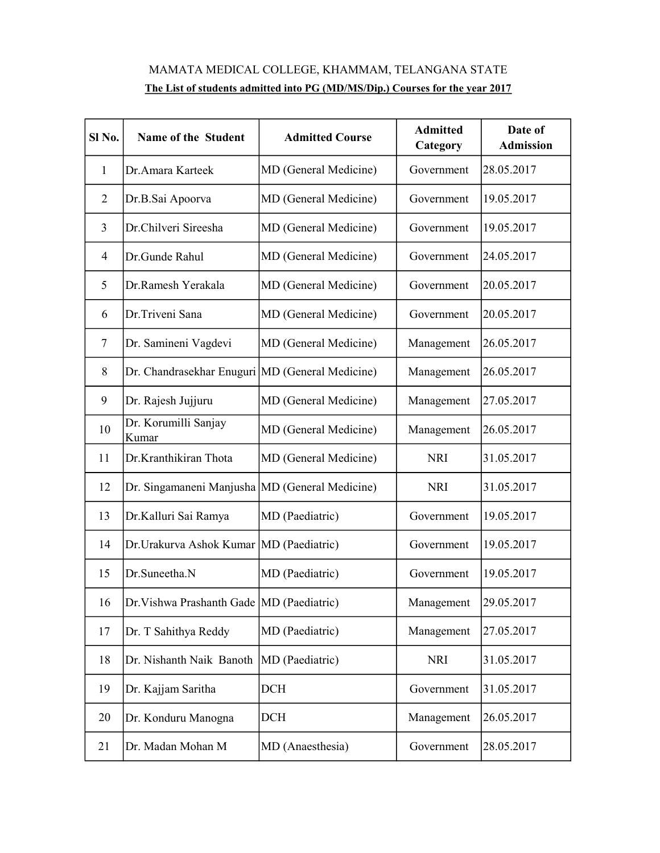## MAMATA MEDICAL COLLEGE, KHAMMAM, TELANGANA STATE The List of students admitted into PG (MD/MS/Dip.) Courses for the year 2017

| Sl No.         | Name of the Student                               | <b>Admitted Course</b> | <b>Admitted</b><br>Category | Date of<br><b>Admission</b> |
|----------------|---------------------------------------------------|------------------------|-----------------------------|-----------------------------|
| 1              | Dr.Amara Karteek                                  | MD (General Medicine)  | Government                  | 28.05.2017                  |
| $\overline{2}$ | Dr.B.Sai Apoorva                                  | MD (General Medicine)  | Government                  | 19.05.2017                  |
| 3              | Dr.Chilveri Sireesha                              | MD (General Medicine)  | Government                  | 19.05.2017                  |
| $\overline{4}$ | Dr.Gunde Rahul                                    | MD (General Medicine)  | Government                  | 24.05.2017                  |
| 5              | Dr.Ramesh Yerakala                                | MD (General Medicine)  | Government                  | 20.05.2017                  |
| 6              | Dr.Triveni Sana                                   | MD (General Medicine)  | Government                  | 20.05.2017                  |
| 7              | Dr. Samineni Vagdevi                              | MD (General Medicine)  | Management                  | 26.05.2017                  |
| 8              | Dr. Chandrasekhar Enuguri   MD (General Medicine) |                        | Management                  | 26.05.2017                  |
| 9              | Dr. Rajesh Jujjuru                                | MD (General Medicine)  | Management                  | 27.05.2017                  |
| 10             | Dr. Korumilli Sanjay<br>Kumar                     | MD (General Medicine)  | Management                  | 26.05.2017                  |
| 11             | Dr.Kranthikiran Thota                             | MD (General Medicine)  | <b>NRI</b>                  | 31.05.2017                  |
| 12             | Dr. Singamaneni Manjusha   MD (General Medicine)  |                        | <b>NRI</b>                  | 31.05.2017                  |
| 13             | Dr.Kalluri Sai Ramya                              | MD (Paediatric)        | Government                  | 19.05.2017                  |
| 14             | Dr. Urakurva Ashok Kumar   MD (Paediatric)        |                        | Government                  | 19.05.2017                  |
| 15             | Dr.Suneetha.N                                     | MD (Paediatric)        | Government                  | 19.05.2017                  |
| 16             | Dr. Vishwa Prashanth Gade   MD (Paediatric)       |                        | Management                  | 29.05.2017                  |
| 17             | Dr. T Sahithya Reddy                              | MD (Paediatric)        | Management                  | 27.05.2017                  |
| 18             | Dr. Nishanth Naik Banoth                          | MD (Paediatric)        | <b>NRI</b>                  | 31.05.2017                  |
| 19             | Dr. Kajjam Saritha                                | DCH                    | Government                  | 31.05.2017                  |
| 20             | Dr. Konduru Manogna                               | <b>DCH</b>             | Management                  | 26.05.2017                  |
| 21             | Dr. Madan Mohan M                                 | MD (Anaesthesia)       | Government                  | 28.05.2017                  |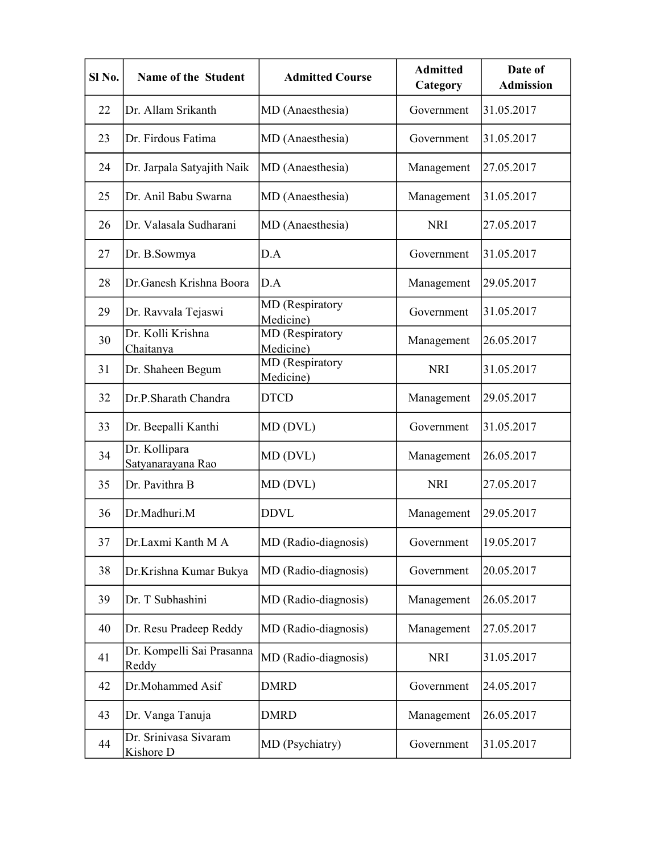| Sl <sub>No.</sub> | Name of the Student                | <b>Admitted Course</b>       | <b>Admitted</b><br>Category | Date of<br><b>Admission</b> |
|-------------------|------------------------------------|------------------------------|-----------------------------|-----------------------------|
| 22                | Dr. Allam Srikanth                 | MD (Anaesthesia)             | Government                  | 31.05.2017                  |
| 23                | Dr. Firdous Fatima                 | MD (Anaesthesia)             | Government                  | 31.05.2017                  |
| 24                | Dr. Jarpala Satyajith Naik         | MD (Anaesthesia)             | Management                  | 27.05.2017                  |
| 25                | Dr. Anil Babu Swarna               | MD (Anaesthesia)             | Management                  | 31.05.2017                  |
| 26                | Dr. Valasala Sudharani             | MD (Anaesthesia)             | <b>NRI</b>                  | 27.05.2017                  |
| 27                | Dr. B.Sowmya                       | D.A                          | Government                  | 31.05.2017                  |
| 28                | Dr.Ganesh Krishna Boora            | D.A                          | Management                  | 29.05.2017                  |
| 29                | Dr. Ravvala Tejaswi                | MD (Respiratory<br>Medicine) | Government                  | 31.05.2017                  |
| 30                | Dr. Kolli Krishna<br>Chaitanya     | MD (Respiratory<br>Medicine) | Management                  | 26.05.2017                  |
| 31                | Dr. Shaheen Begum                  | MD (Respiratory<br>Medicine) | <b>NRI</b>                  | 31.05.2017                  |
| 32                | Dr.P.Sharath Chandra               | <b>DTCD</b>                  | Management                  | 29.05.2017                  |
| 33                | Dr. Beepalli Kanthi                | MD (DVL)                     | Government                  | 31.05.2017                  |
| 34                | Dr. Kollipara<br>Satyanarayana Rao | MD (DVL)                     | Management                  | 26.05.2017                  |
| 35                | Dr. Pavithra B                     | MD (DVL)                     | <b>NRI</b>                  | 27.05.2017                  |
| 36                | Dr.Madhuri.M                       | <b>DDVL</b>                  | Management                  | 29.05.2017                  |
| 37                | Dr.Laxmi Kanth M A                 | MD (Radio-diagnosis)         | Government                  | 19.05.2017                  |
| 38                | Dr.Krishna Kumar Bukya             | MD (Radio-diagnosis)         | Government                  | 20.05.2017                  |
| 39                | Dr. T Subhashini                   | MD (Radio-diagnosis)         | Management                  | 26.05.2017                  |
| 40                | Dr. Resu Pradeep Reddy             | MD (Radio-diagnosis)         | Management                  | 27.05.2017                  |
| 41                | Dr. Kompelli Sai Prasanna<br>Reddy | MD (Radio-diagnosis)         | <b>NRI</b>                  | 31.05.2017                  |
| 42                | Dr.Mohammed Asif                   | <b>DMRD</b>                  | Government                  | 24.05.2017                  |
| 43                | Dr. Vanga Tanuja                   | <b>DMRD</b>                  | Management                  | 26.05.2017                  |
| 44                | Dr. Srinivasa Sivaram<br>Kishore D | MD (Psychiatry)              | Government                  | 31.05.2017                  |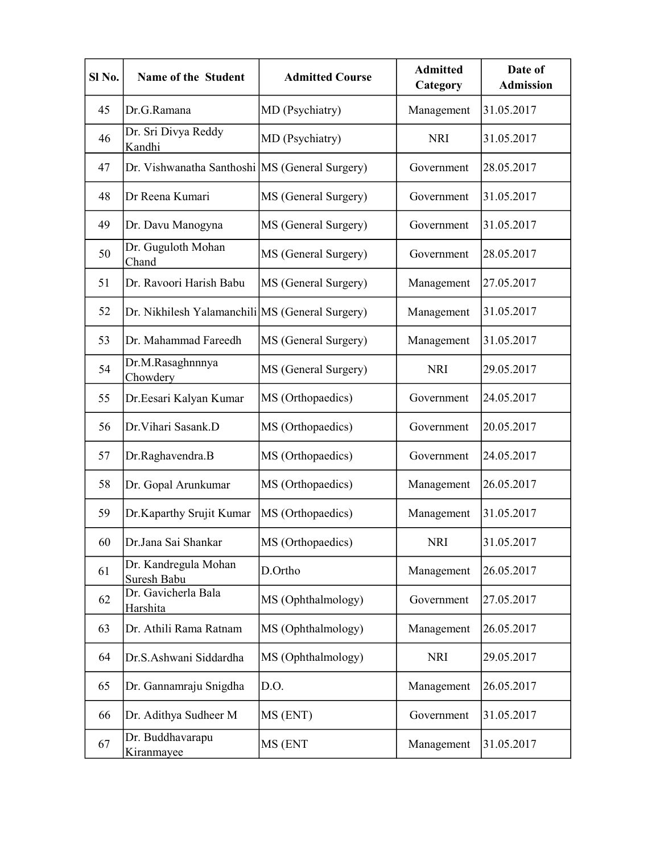| Sl <sub>No.</sub> | Name of the Student                             | <b>Admitted Course</b> | <b>Admitted</b><br>Category | Date of<br><b>Admission</b> |
|-------------------|-------------------------------------------------|------------------------|-----------------------------|-----------------------------|
| 45                | Dr.G.Ramana                                     | MD (Psychiatry)        | Management                  | 31.05.2017                  |
| 46                | Dr. Sri Divya Reddy<br>Kandhi                   | MD (Psychiatry)        | <b>NRI</b>                  | 31.05.2017                  |
| 47                | Dr. Vishwanatha Santhoshi MS (General Surgery)  |                        | Government                  | 28.05.2017                  |
| 48                | Dr Reena Kumari                                 | MS (General Surgery)   | Government                  | 31.05.2017                  |
| 49                | Dr. Davu Manogyna                               | MS (General Surgery)   | Government                  | 31.05.2017                  |
| 50                | Dr. Guguloth Mohan<br>Chand                     | MS (General Surgery)   | Government                  | 28.05.2017                  |
| 51                | Dr. Ravoori Harish Babu                         | MS (General Surgery)   | Management                  | 27.05.2017                  |
| 52                | Dr. Nikhilesh Yalamanchili MS (General Surgery) |                        | Management                  | 31.05.2017                  |
| 53                | Dr. Mahammad Fareedh                            | MS (General Surgery)   | Management                  | 31.05.2017                  |
| 54                | Dr.M.Rasaghnnnya<br>Chowdery                    | MS (General Surgery)   | <b>NRI</b>                  | 29.05.2017                  |
| 55                | Dr.Eesari Kalyan Kumar                          | MS (Orthopaedics)      | Government                  | 24.05.2017                  |
| 56                | Dr. Vihari Sasank.D                             | MS (Orthopaedics)      | Government                  | 20.05.2017                  |
| 57                | Dr.Raghavendra.B                                | MS (Orthopaedics)      | Government                  | 24.05.2017                  |
| 58                | Dr. Gopal Arunkumar                             | MS (Orthopaedics)      | Management                  | 26.05.2017                  |
| 59                | Dr.Kaparthy Srujit Kumar                        | MS (Orthopaedics)      | Management                  | 31.05.2017                  |
| 60                | Dr.Jana Sai Shankar                             | MS (Orthopaedics)      | <b>NRI</b>                  | 31.05.2017                  |
| 61                | Dr. Kandregula Mohan<br>Suresh Babu             | D.Ortho                | Management                  | 26.05.2017                  |
| 62                | Dr. Gavicherla Bala<br>Harshita                 | MS (Ophthalmology)     | Government                  | 27.05.2017                  |
| 63                | Dr. Athili Rama Ratnam                          | MS (Ophthalmology)     | Management                  | 26.05.2017                  |
| 64                | Dr.S.Ashwani Siddardha                          | MS (Ophthalmology)     | <b>NRI</b>                  | 29.05.2017                  |
| 65                | Dr. Gannamraju Snigdha                          | D.O.                   | Management                  | 26.05.2017                  |
| 66                | Dr. Adithya Sudheer M                           | MS (ENT)               | Government                  | 31.05.2017                  |
| 67                | Dr. Buddhavarapu<br>Kiranmayee                  | MS (ENT                | Management                  | 31.05.2017                  |